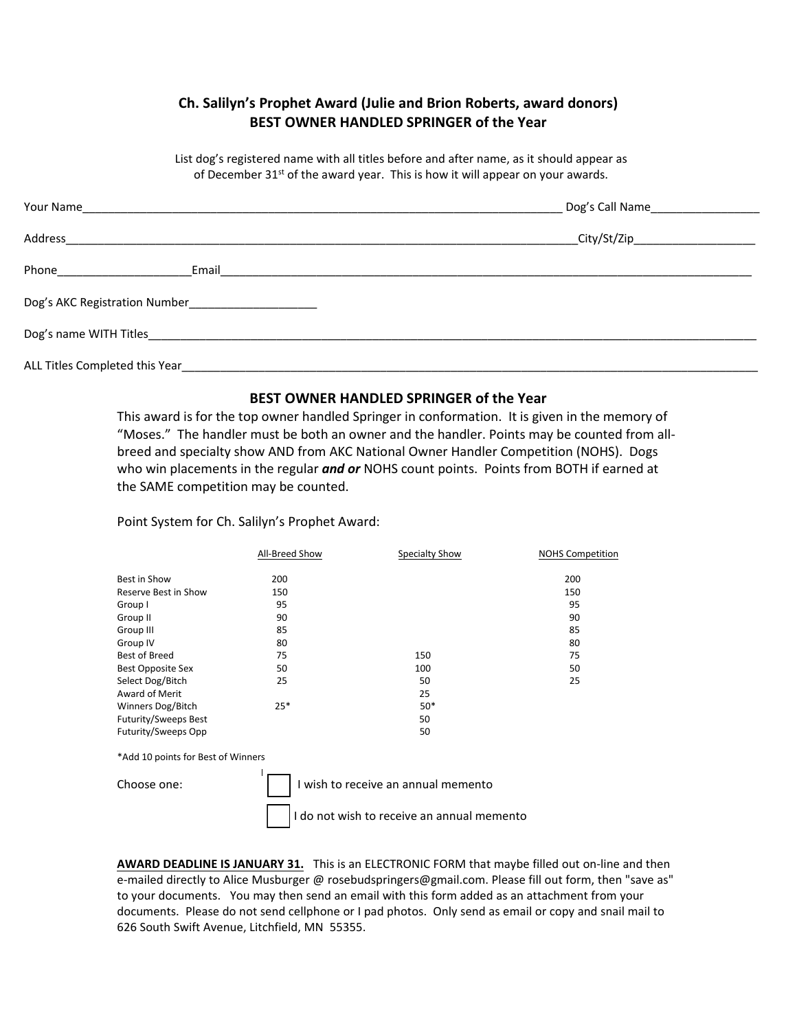## **Ch. Salilyn's Prophet Award (Julie and Brion Roberts, award donors) BEST OWNER HANDLED SPRINGER of the Year**

List dog's registered name with all titles before and after name, as it should appear as of December  $31^{st}$  of the award year. This is how it will appear on your awards.

|                                                                                                                                                                                                                               | Dog's Call Name                    |  |  |  |
|-------------------------------------------------------------------------------------------------------------------------------------------------------------------------------------------------------------------------------|------------------------------------|--|--|--|
| Address                                                                                                                                                                                                                       | _City/St/Zip______________________ |  |  |  |
| Phone<br>Email                                                                                                                                                                                                                |                                    |  |  |  |
| Dog's AKC Registration Number                                                                                                                                                                                                 |                                    |  |  |  |
| Dog's name WITH Titles and the state of the state of the state of the state of the state of the state of the state of the state of the state of the state of the state of the state of the state of the state of the state of |                                    |  |  |  |
| ALL Titles Completed this Year                                                                                                                                                                                                |                                    |  |  |  |

## **BEST OWNER HANDLED SPRINGER of the Year**

This award is for the top owner handled Springer in conformation. It is given in the memory of "Moses." The handler must be both an owner and the handler. Points may be counted from allbreed and specialty show AND from AKC National Owner Handler Competition (NOHS). Dogs who win placements in the regular *and or* NOHS count points. Points from BOTH if earned at the SAME competition may be counted.

## Point System for Ch. Salilyn's Prophet Award:

|                                                                               | All-Breed Show | Specialty Show | <b>NOHS Competition</b> |
|-------------------------------------------------------------------------------|----------------|----------------|-------------------------|
| Best in Show                                                                  | 200            |                | 200                     |
| Reserve Best in Show                                                          | 150            |                | 150                     |
| Group I                                                                       | 95             |                | 95                      |
| Group II                                                                      | 90             |                | 90                      |
| Group III                                                                     | 85             |                | 85                      |
| Group IV                                                                      | 80             |                | 80                      |
| Best of Breed                                                                 | 75             | 150            | 75                      |
| <b>Best Opposite Sex</b>                                                      | 50             | 100            | 50                      |
| Select Dog/Bitch                                                              | 25             | 50             | 25                      |
| Award of Merit                                                                |                | 25             |                         |
| Winners Dog/Bitch                                                             | $25*$          | $50*$          |                         |
| Futurity/Sweeps Best                                                          |                | 50             |                         |
| Futurity/Sweeps Opp                                                           |                | 50             |                         |
| $*$ $*$ $-1$ $-1$ $-0$ $-1$ $-1$ $-1$ $-0$ $-1$ $-0$ $-1$ $-1$ $-1$ $-1$ $-1$ |                |                |                         |

\*Add 10 points for Best of Winners



**AWARD DEADLINE IS JANUARY 31.** This is an ELECTRONIC FORM that maybe filled out on-line and then e-mailed directly to Alice Musburger @ rosebudspringers@gmail.com. Please fill out form, then "save as" to your documents. You may then send an email with this form added as an attachment from your documents. Please do not send cellphone or I pad photos. Only send as email or copy and snail mail to 626 South Swift Avenue, Litchfield, MN 55355.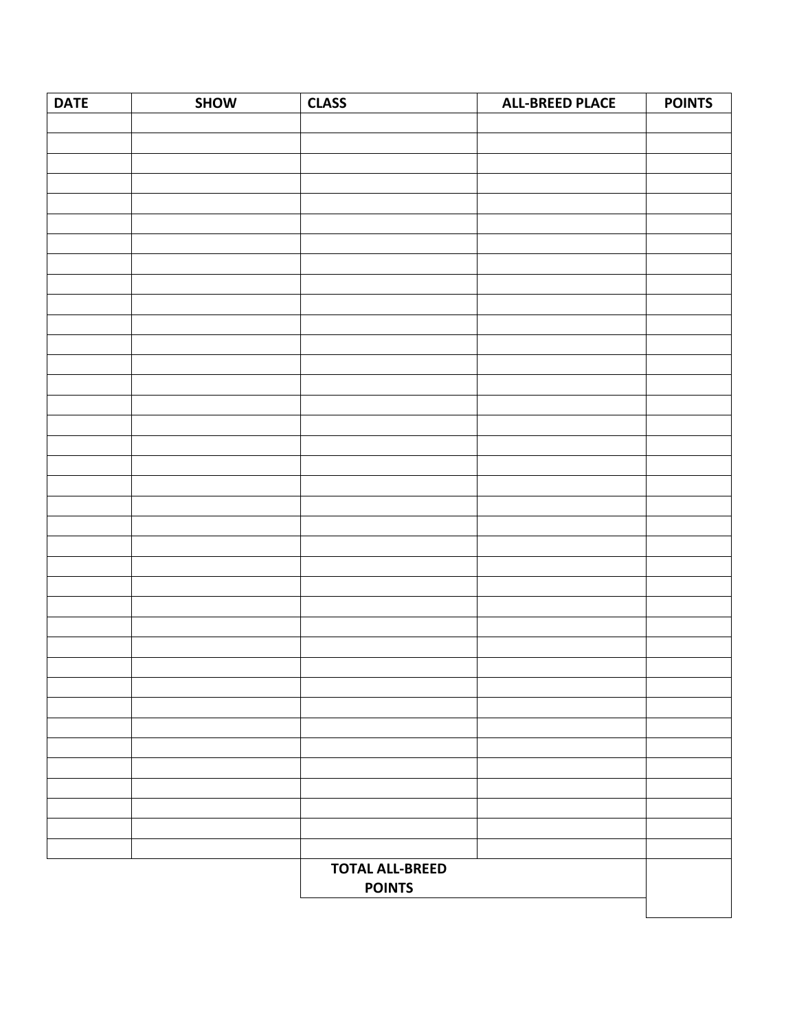| <b>DATE</b> | SHOW | <b>CLASS</b>           | <b>ALL-BREED PLACE</b> | <b>POINTS</b> |
|-------------|------|------------------------|------------------------|---------------|
|             |      |                        |                        |               |
|             |      |                        |                        |               |
|             |      |                        |                        |               |
|             |      |                        |                        |               |
|             |      |                        |                        |               |
|             |      |                        |                        |               |
|             |      |                        |                        |               |
|             |      |                        |                        |               |
|             |      |                        |                        |               |
|             |      |                        |                        |               |
|             |      |                        |                        |               |
|             |      |                        |                        |               |
|             |      |                        |                        |               |
|             |      |                        |                        |               |
|             |      |                        |                        |               |
|             |      |                        |                        |               |
|             |      |                        |                        |               |
|             |      |                        |                        |               |
|             |      |                        |                        |               |
|             |      |                        |                        |               |
|             |      |                        |                        |               |
|             |      |                        |                        |               |
|             |      |                        |                        |               |
|             |      |                        |                        |               |
|             |      |                        |                        |               |
|             |      |                        |                        |               |
|             |      |                        |                        |               |
|             |      |                        |                        |               |
|             |      |                        |                        |               |
|             |      |                        |                        |               |
|             |      |                        |                        |               |
|             |      |                        |                        |               |
|             |      |                        |                        |               |
|             |      |                        |                        |               |
|             |      |                        |                        |               |
|             |      |                        |                        |               |
|             |      | <b>TOTAL ALL-BREED</b> |                        |               |
|             |      | <b>POINTS</b>          |                        |               |
|             |      |                        |                        |               |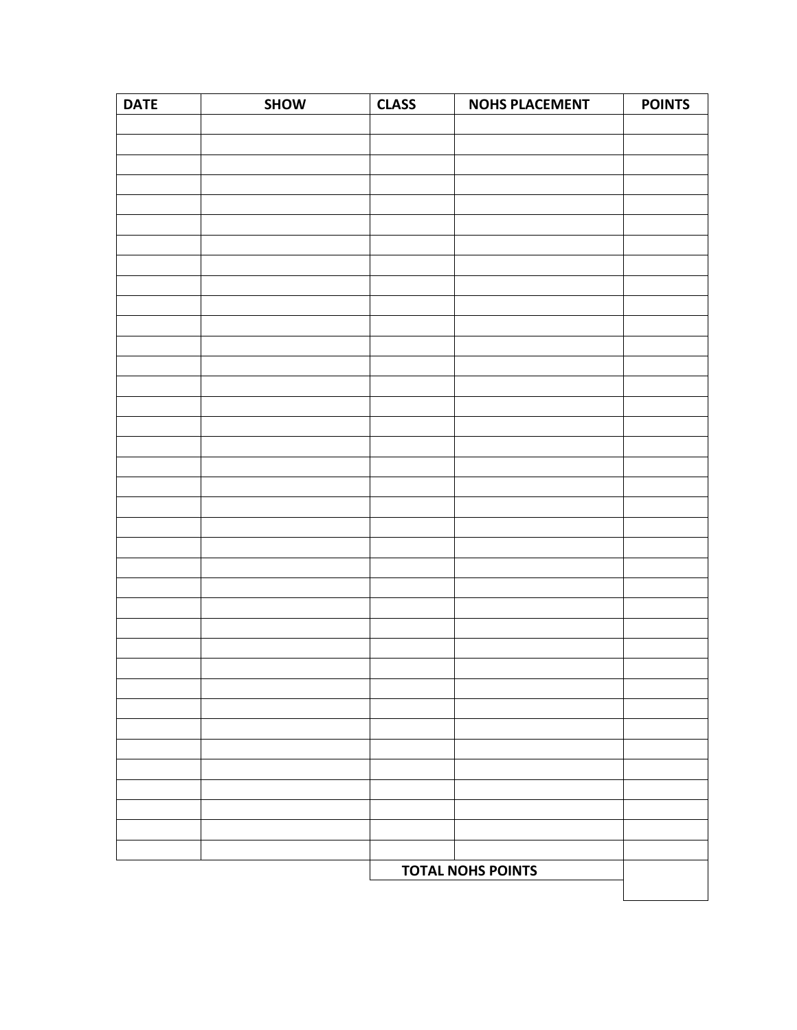| <b>DATE</b>              | SHOW | <b>CLASS</b> | <b>NOHS PLACEMENT</b> | <b>POINTS</b> |
|--------------------------|------|--------------|-----------------------|---------------|
|                          |      |              |                       |               |
|                          |      |              |                       |               |
|                          |      |              |                       |               |
|                          |      |              |                       |               |
|                          |      |              |                       |               |
|                          |      |              |                       |               |
|                          |      |              |                       |               |
|                          |      |              |                       |               |
|                          |      |              |                       |               |
|                          |      |              |                       |               |
|                          |      |              |                       |               |
|                          |      |              |                       |               |
|                          |      |              |                       |               |
|                          |      |              |                       |               |
|                          |      |              |                       |               |
|                          |      |              |                       |               |
|                          |      |              |                       |               |
|                          |      |              |                       |               |
|                          |      |              |                       |               |
|                          |      |              |                       |               |
|                          |      |              |                       |               |
|                          |      |              |                       |               |
|                          |      |              |                       |               |
|                          |      |              |                       |               |
|                          |      |              |                       |               |
|                          |      |              |                       |               |
|                          |      |              |                       |               |
|                          |      |              |                       |               |
|                          |      |              |                       |               |
|                          |      |              |                       |               |
|                          |      |              |                       |               |
|                          |      |              |                       |               |
|                          |      |              |                       |               |
|                          |      |              |                       |               |
|                          |      |              |                       |               |
|                          |      |              |                       |               |
| <b>TOTAL NOHS POINTS</b> |      |              |                       |               |
|                          |      |              |                       |               |